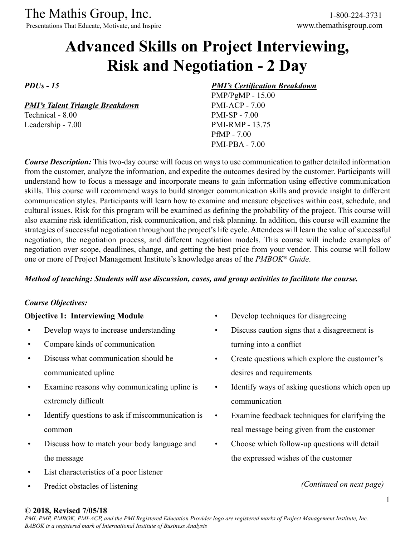The Mathis Group, Inc. 1-800-224-3731

Presentations That Educate, Motivate, and Inspire www.themathisgroup.com

# **Advanced Skills on Project Interviewing, Risk and Negotiation - 2 Day**

*PDUs - 15*

*PMI's Talent Triangle Breakdown*

Technical - 8.00 Leadership - 7.00 *PMI's Certification Breakdown*

PMP/PgMP - 15.00 PMI-ACP - 7.00 PMI-SP - 7.00 PMI-RMP - 13.75 PfMP - 7.00 PMI-PBA - 7.00

*Course Description:* This two-day course will focus on ways to use communication to gather detailed information from the customer, analyze the information, and expedite the outcomes desired by the customer. Participants will understand how to focus a message and incorporate means to gain information using effective communication skills. This course will recommend ways to build stronger communication skills and provide insight to different communication styles. Participants will learn how to examine and measure objectives within cost, schedule, and cultural issues. Risk for this program will be examined as defining the probability of the project. This course will also examine risk identification, risk communication, and risk planning. In addition, this course will examine the strategies of successful negotiation throughout the project's life cycle. Attendees will learn the value of successful negotiation, the negotiation process, and different negotiation models. This course will include examples of negotiation over scope, deadlines, change, and getting the best price from your vendor. This course will follow one or more of Project Management Institute's knowledge areas of the *PMBOK® Guide*.

#### *Method of teaching: Students will use discussion, cases, and group activities to facilitate the course.*

#### *Course Objectives:*

#### **Objective 1: Interviewing Module**

- Develop ways to increase understanding
- Compare kinds of communication
- Discuss what communication should be communicated upline
- Examine reasons why communicating upline is extremely difficult
- Identify questions to ask if miscommunication is common
- Discuss how to match your body language and the message
- List characteristics of a poor listener
- Predict obstacles of listening
- Develop techniques for disagreeing
- Discuss caution signs that a disagreement is turning into a conflict
- Create questions which explore the customer's desires and requirements
- Identify ways of asking questions which open up communication
- Examine feedback techniques for clarifying the real message being given from the customer
- Choose which follow-up questions will detail the expressed wishes of the customer

*(Continued on next page)*

#### **© 2018, Revised 7/05/18**